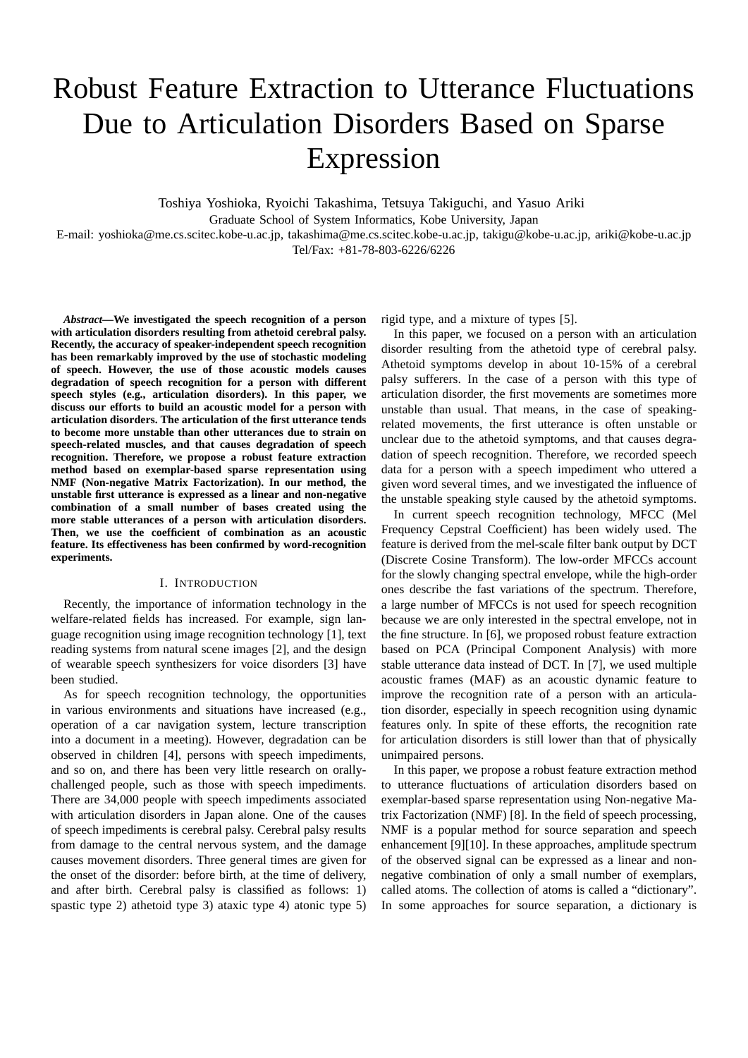# Robust Feature Extraction to Utterance Fluctuations Due to Articulation Disorders Based on Sparse Expression

Toshiya Yoshioka, Ryoichi Takashima, Tetsuya Takiguchi, and Yasuo Ariki Graduate School of System Informatics, Kobe University, Japan

E-mail: yoshioka@me.cs.scitec.kobe-u.ac.jp, takashima@me.cs.scitec.kobe-u.ac.jp, takigu@kobe-u.ac.jp, ariki@kobe-u.ac.jp Tel/Fax: +81-78-803-6226/6226

*Abstract***—We investigated the speech recognition of a person with articulation disorders resulting from athetoid cerebral palsy. Recently, the accuracy of speaker-independent speech recognition has been remarkably improved by the use of stochastic modeling of speech. However, the use of those acoustic models causes degradation of speech recognition for a person with different speech styles (e.g., articulation disorders). In this paper, we discuss our efforts to build an acoustic model for a person with articulation disorders. The articulation of the first utterance tends to become more unstable than other utterances due to strain on speech-related muscles, and that causes degradation of speech recognition. Therefore, we propose a robust feature extraction method based on exemplar-based sparse representation using NMF (Non-negative Matrix Factorization). In our method, the unstable first utterance is expressed as a linear and non-negative combination of a small number of bases created using the more stable utterances of a person with articulation disorders. Then, we use the coefficient of combination as an acoustic feature. Its effectiveness has been confirmed by word-recognition experiments.**

## I. INTRODUCTION

Recently, the importance of information technology in the welfare-related fields has increased. For example, sign language recognition using image recognition technology [1], text reading systems from natural scene images [2], and the design of wearable speech synthesizers for voice disorders [3] have been studied.

As for speech recognition technology, the opportunities in various environments and situations have increased (e.g., operation of a car navigation system, lecture transcription into a document in a meeting). However, degradation can be observed in children [4], persons with speech impediments, and so on, and there has been very little research on orallychallenged people, such as those with speech impediments. There are 34,000 people with speech impediments associated with articulation disorders in Japan alone. One of the causes of speech impediments is cerebral palsy. Cerebral palsy results from damage to the central nervous system, and the damage causes movement disorders. Three general times are given for the onset of the disorder: before birth, at the time of delivery, and after birth. Cerebral palsy is classified as follows: 1) spastic type 2) athetoid type 3) ataxic type 4) atonic type 5)

rigid type, and a mixture of types [5].

In this paper, we focused on a person with an articulation disorder resulting from the athetoid type of cerebral palsy. Athetoid symptoms develop in about 10-15% of a cerebral palsy sufferers. In the case of a person with this type of articulation disorder, the first movements are sometimes more unstable than usual. That means, in the case of speakingrelated movements, the first utterance is often unstable or unclear due to the athetoid symptoms, and that causes degradation of speech recognition. Therefore, we recorded speech data for a person with a speech impediment who uttered a given word several times, and we investigated the influence of the unstable speaking style caused by the athetoid symptoms.

In current speech recognition technology, MFCC (Mel Frequency Cepstral Coefficient) has been widely used. The feature is derived from the mel-scale filter bank output by DCT (Discrete Cosine Transform). The low-order MFCCs account for the slowly changing spectral envelope, while the high-order ones describe the fast variations of the spectrum. Therefore, a large number of MFCCs is not used for speech recognition because we are only interested in the spectral envelope, not in the fine structure. In [6], we proposed robust feature extraction based on PCA (Principal Component Analysis) with more stable utterance data instead of DCT. In [7], we used multiple acoustic frames (MAF) as an acoustic dynamic feature to improve the recognition rate of a person with an articulation disorder, especially in speech recognition using dynamic features only. In spite of these efforts, the recognition rate for articulation disorders is still lower than that of physically unimpaired persons.

In this paper, we propose a robust feature extraction method to utterance fluctuations of articulation disorders based on exemplar-based sparse representation using Non-negative Matrix Factorization (NMF) [8]. In the field of speech processing, NMF is a popular method for source separation and speech enhancement [9][10]. In these approaches, amplitude spectrum of the observed signal can be expressed as a linear and nonnegative combination of only a small number of exemplars, called atoms. The collection of atoms is called a "dictionary". In some approaches for source separation, a dictionary is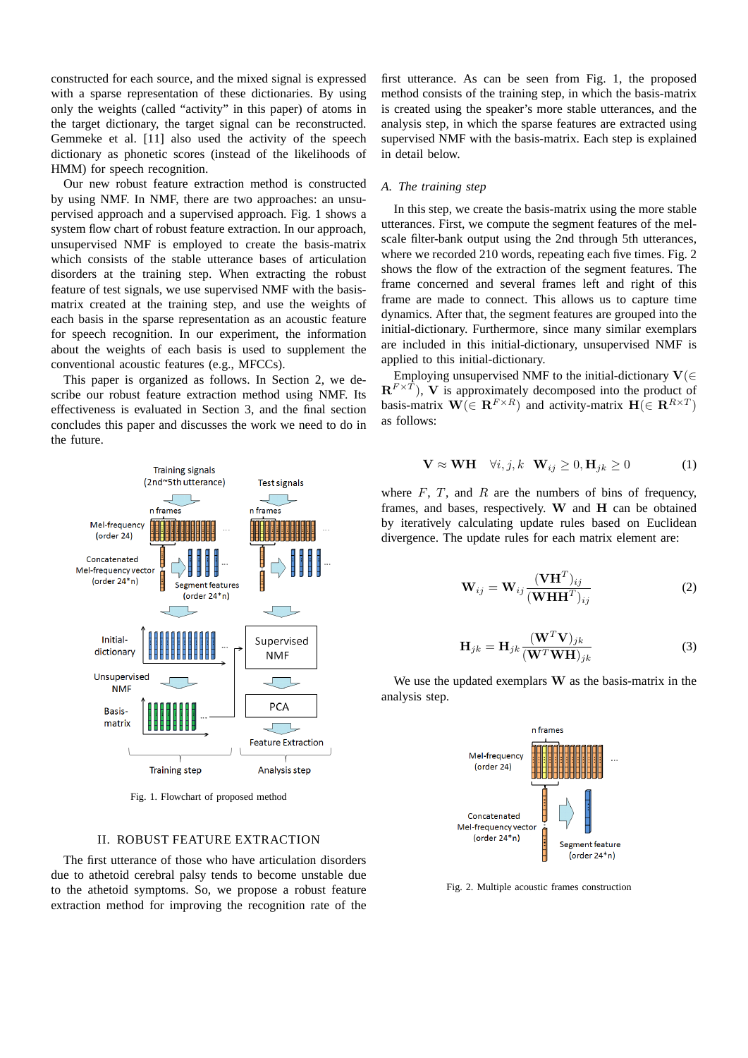constructed for each source, and the mixed signal is expressed with a sparse representation of these dictionaries. By using only the weights (called "activity" in this paper) of atoms in the target dictionary, the target signal can be reconstructed. Gemmeke et al. [11] also used the activity of the speech dictionary as phonetic scores (instead of the likelihoods of HMM) for speech recognition.

Our new robust feature extraction method is constructed by using NMF. In NMF, there are two approaches: an unsupervised approach and a supervised approach. Fig. 1 shows a system flow chart of robust feature extraction. In our approach, unsupervised NMF is employed to create the basis-matrix which consists of the stable utterance bases of articulation disorders at the training step. When extracting the robust feature of test signals, we use supervised NMF with the basismatrix created at the training step, and use the weights of each basis in the sparse representation as an acoustic feature for speech recognition. In our experiment, the information about the weights of each basis is used to supplement the conventional acoustic features (e.g., MFCCs).

This paper is organized as follows. In Section 2, we describe our robust feature extraction method using NMF. Its effectiveness is evaluated in Section 3, and the final section concludes this paper and discusses the work we need to do in the future.



Fig. 1. Flowchart of proposed method

#### II. ROBUST FEATURE EXTRACTION

The first utterance of those who have articulation disorders due to athetoid cerebral palsy tends to become unstable due to the athetoid symptoms. So, we propose a robust feature extraction method for improving the recognition rate of the

first utterance. As can be seen from Fig. 1, the proposed method consists of the training step, in which the basis-matrix is created using the speaker's more stable utterances, and the analysis step, in which the sparse features are extracted using supervised NMF with the basis-matrix. Each step is explained in detail below.

# *A. The training step*

In this step, we create the basis-matrix using the more stable utterances. First, we compute the segment features of the melscale filter-bank output using the 2nd through 5th utterances, where we recorded 210 words, repeating each five times. Fig. 2 shows the flow of the extraction of the segment features. The frame concerned and several frames left and right of this frame are made to connect. This allows us to capture time dynamics. After that, the segment features are grouped into the initial-dictionary. Furthermore, since many similar exemplars are included in this initial-dictionary, unsupervised NMF is applied to this initial-dictionary.

Employing unsupervised NMF to the initial-dictionary **V**(*∈*  $\mathbf{R}^{F \times T}$ ), V is approximately decomposed into the product of basis-matrix  $\mathbf{W}(\in \mathbb{R}^{F \times R})$  and activity-matrix  $\mathbf{H}(\in \mathbb{R}^{R \times T})$ as follows:

$$
\mathbf{V} \approx \mathbf{W} \mathbf{H} \quad \forall i, j, k \quad \mathbf{W}_{ij} \ge 0, \mathbf{H}_{jk} \ge 0 \tag{1}
$$

where  $F$ ,  $T$ , and  $R$  are the numbers of bins of frequency, frames, and bases, respectively. **W** and **H** can be obtained by iteratively calculating update rules based on Euclidean divergence. The update rules for each matrix element are:

$$
\mathbf{W}_{ij} = \mathbf{W}_{ij} \frac{(\mathbf{V}\mathbf{H}^T)_{ij}}{(\mathbf{W}\mathbf{H}\mathbf{H}^T)_{ij}}
$$
(2)

$$
\mathbf{H}_{jk} = \mathbf{H}_{jk} \frac{(\mathbf{W}^T \mathbf{V})_{jk}}{(\mathbf{W}^T \mathbf{W} \mathbf{H})_{jk}} \tag{3}
$$

We use the updated exemplars **W** as the basis-matrix in the analysis step.



Fig. 2. Multiple acoustic frames construction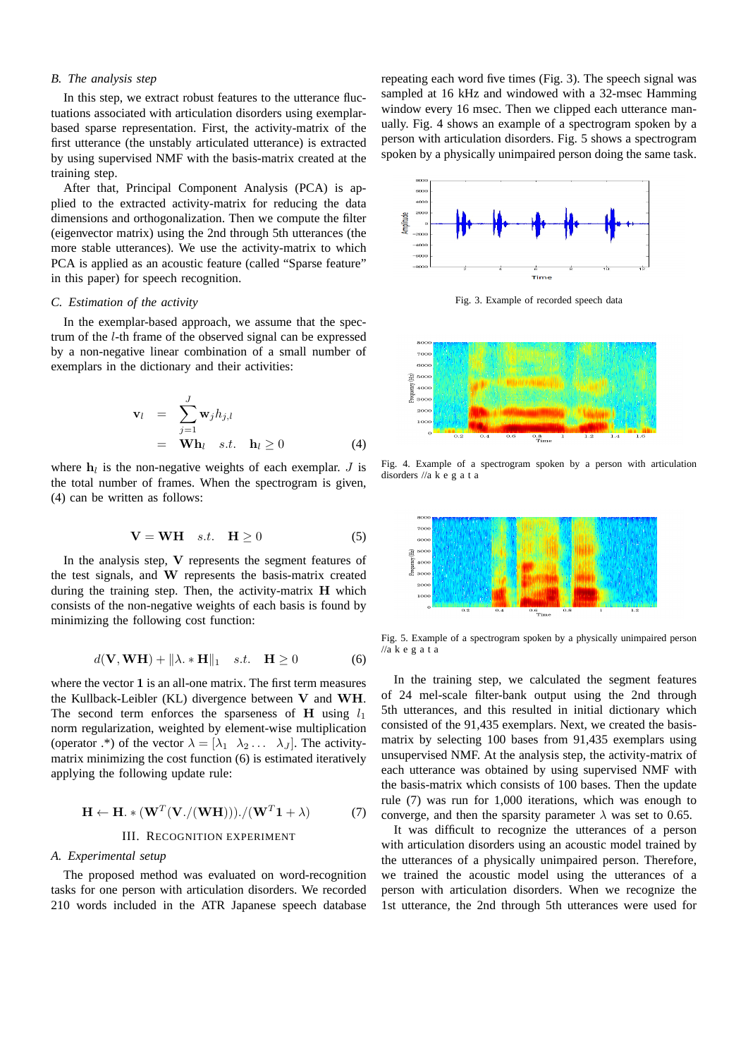# *B. The analysis step*

In this step, we extract robust features to the utterance fluctuations associated with articulation disorders using exemplarbased sparse representation. First, the activity-matrix of the first utterance (the unstably articulated utterance) is extracted by using supervised NMF with the basis-matrix created at the training step.

After that, Principal Component Analysis (PCA) is applied to the extracted activity-matrix for reducing the data dimensions and orthogonalization. Then we compute the filter (eigenvector matrix) using the 2nd through 5th utterances (the more stable utterances). We use the activity-matrix to which PCA is applied as an acoustic feature (called "Sparse feature" in this paper) for speech recognition.

#### *C. Estimation of the activity*

In the exemplar-based approach, we assume that the spectrum of the *l*-th frame of the observed signal can be expressed by a non-negative linear combination of a small number of exemplars in the dictionary and their activities:

$$
\mathbf{v}_{l} = \sum_{j=1}^{J} \mathbf{w}_{j} h_{j,l} \n= \mathbf{W} \mathbf{h}_{l} \quad s.t. \quad \mathbf{h}_{l} \ge 0
$$
\n(4)

where  $h_l$  is the non-negative weights of each exemplar. *J* is the total number of frames. When the spectrogram is given, (4) can be written as follows:

$$
\mathbf{V} = \mathbf{W} \mathbf{H} \quad s.t. \quad \mathbf{H} \ge 0 \tag{5}
$$

In the analysis step, **V** represents the segment features of the test signals, and **W** represents the basis-matrix created during the training step. Then, the activity-matrix **H** which consists of the non-negative weights of each basis is found by minimizing the following cost function:

$$
d(\mathbf{V}, \mathbf{W}\mathbf{H}) + \|\lambda \cdot \mathbf{H}\|_1 \quad s.t. \quad \mathbf{H} \ge 0 \tag{6}
$$

where the vector **1** is an all-one matrix. The first term measures the Kullback-Leibler (KL) divergence between **V** and **WH**. The second term enforces the sparseness of **H** using  $l_1$ norm regularization, weighted by element-wise multiplication (operator .\*) of the vector  $\lambda = [\lambda_1, \lambda_2, \ldots, \lambda_J]$ . The activitymatrix minimizing the cost function (6) is estimated iteratively applying the following update rule:

$$
\mathbf{H} \leftarrow \mathbf{H} \cdot * (\mathbf{W}^T (\mathbf{V}./(\mathbf{W} \mathbf{H})))./(\mathbf{W}^T \mathbf{1} + \lambda) \tag{7}
$$

# III. RECOGNITION EXPERIMENT

#### *A. Experimental setup*

The proposed method was evaluated on word-recognition tasks for one person with articulation disorders. We recorded 210 words included in the ATR Japanese speech database

repeating each word five times (Fig. 3). The speech signal was sampled at 16 kHz and windowed with a 32-msec Hamming window every 16 msec. Then we clipped each utterance manually. Fig. 4 shows an example of a spectrogram spoken by a person with articulation disorders. Fig. 5 shows a spectrogram spoken by a physically unimpaired person doing the same task.



Fig. 3. Example of recorded speech data



Fig. 4. Example of a spectrogram spoken by a person with articulation disorders //a k e g a t a



Fig. 5. Example of a spectrogram spoken by a physically unimpaired person  $\frac{1}{a}$  k e g a t a

In the training step, we calculated the segment features of 24 mel-scale filter-bank output using the 2nd through 5th utterances, and this resulted in initial dictionary which consisted of the 91,435 exemplars. Next, we created the basismatrix by selecting 100 bases from 91,435 exemplars using unsupervised NMF. At the analysis step, the activity-matrix of each utterance was obtained by using supervised NMF with the basis-matrix which consists of 100 bases. Then the update rule (7) was run for 1,000 iterations, which was enough to converge, and then the sparsity parameter  $\lambda$  was set to 0.65.

It was difficult to recognize the utterances of a person with articulation disorders using an acoustic model trained by the utterances of a physically unimpaired person. Therefore, we trained the acoustic model using the utterances of a person with articulation disorders. When we recognize the 1st utterance, the 2nd through 5th utterances were used for